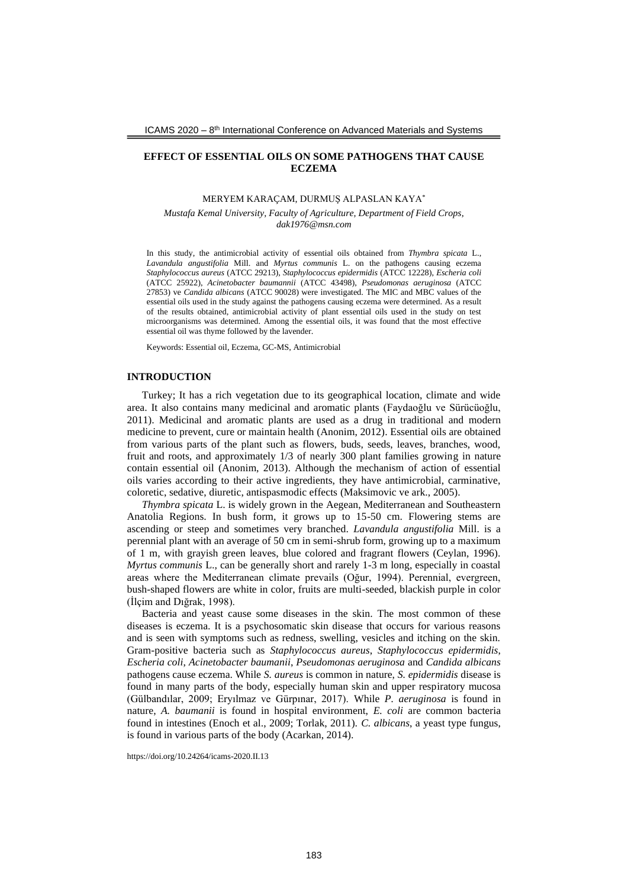# **EFFECT OF ESSENTIAL OILS ON SOME PATHOGENS THAT CAUSE ECZEMA**

### MERYEM KARAÇAM, DURMUŞ ALPASLAN KAYA\*

*Mustafa Kemal University, Faculty of Agriculture, Department of Field Crops, dak1976@msn.com*

In this study, the antimicrobial activity of essential oils obtained from *Thymbra spicata* L., *Lavandula angustifolia* Mill. and *Myrtus communis* L. on the pathogens causing eczema *Staphylococcus aureus* (ATCC 29213), *Staphylococcus epidermidis* (ATCC 12228), *Escheria coli* (ATCC 25922), *Acinetobacter baumannii* (ATCC 43498), *Pseudomonas aeruginosa* (ATCC 27853) ve *Candida albicans* (ATCC 90028) were investigated. The MIC and MBC values of the essential oils used in the study against the pathogens causing eczema were determined. As a result of the results obtained, antimicrobial activity of plant essential oils used in the study on test microorganisms was determined. Among the essential oils, it was found that the most effective essential oil was thyme followed by the lavender.

Keywords: Essential oil, Eczema, GC-MS, Antimicrobial

## **INTRODUCTION**

Turkey; It has a rich vegetation due to its geographical location, climate and wide area. It also contains many medicinal and aromatic plants (Faydaoğlu ve Sürücüoğlu, 2011). Medicinal and aromatic plants are used as a drug in traditional and modern medicine to prevent, cure or maintain health (Anonim, 2012). Essential oils are obtained from various parts of the plant such as flowers, buds, seeds, leaves, branches, wood, fruit and roots, and approximately 1/3 of nearly 300 plant families growing in nature contain essential oil (Anonim, 2013). Although the mechanism of action of essential oils varies according to their active ingredients, they have antimicrobial, carminative, coloretic, sedative, diuretic, antispasmodic effects (Maksimovic ve ark., 2005).

*Thymbra spicata* L. is widely grown in the Aegean, Mediterranean and Southeastern Anatolia Regions. In bush form, it grows up to 15-50 cm. Flowering stems are ascending or steep and sometimes very branched. *Lavandula angustifolia* Mill. is a perennial plant with an average of 50 cm in semi-shrub form, growing up to a maximum of 1 m, with grayish green leaves, blue colored and fragrant flowers (Ceylan, 1996). *Myrtus communis* L., can be generally short and rarely 1-3 m long, especially in coastal areas where the Mediterranean climate prevails (Oğur, 1994). Perennial, evergreen, bush-shaped flowers are white in color, fruits are multi-seeded, blackish purple in color (İlçim and Dığrak, 1998).

Bacteria and yeast cause some diseases in the skin. The most common of these diseases is eczema. It is a psychosomatic skin disease that occurs for various reasons and is seen with symptoms such as redness, swelling, vesicles and itching on the skin. Gram-positive bacteria such as *Staphylococcus aureus*, *Staphylococcus epidermidis*, *Escheria coli*, *Acinetobacter baumanii*, *Pseudomonas aeruginosa* and *Candida albicans* pathogens cause eczema. While *S. aureus* is common in nature, *S. epidermidis* disease is found in many parts of the body, especially human skin and upper respiratory mucosa (Gülbandılar, 2009; Eryılmaz ve Gürpınar, 2017). While *P. aeruginosa* is found in nature, *A. baumanii* is found in hospital environment, *E. coli* are common bacteria found in intestines (Enoch et al., 2009; Torlak, 2011). *C. albicans*, a yeast type fungus, is found in various parts of the body (Acarkan, 2014).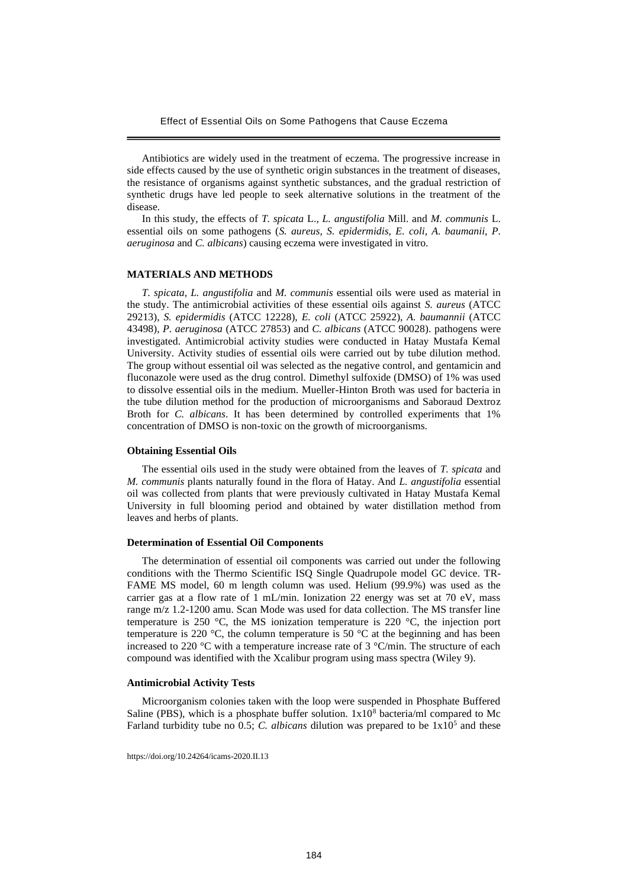Effect of Essential Oils on Some Pathogens that Cause Eczema

Antibiotics are widely used in the treatment of eczema. The progressive increase in side effects caused by the use of synthetic origin substances in the treatment of diseases, the resistance of organisms against synthetic substances, and the gradual restriction of synthetic drugs have led people to seek alternative solutions in the treatment of the disease.

In this study, the effects of *T. spicata* L., *L. angustifolia* Mill. and *M. communis* L. essential oils on some pathogens (*S. aureus*, *S. epidermidis*, *E. coli*, *A. baumanii*, *P. aeruginosa* and *C. albicans*) causing eczema were investigated in vitro.

# **MATERIALS AND METHODS**

*T. spicata*, *L. angustifolia* and *M. communis* essential oils were used as material in the study. The antimicrobial activities of these essential oils against *S. aureus* (ATCC 29213), *S. epidermidis* (ATCC 12228), *E. coli* (ATCC 25922), *A. baumannii* (ATCC 43498), *P. aeruginosa* (ATCC 27853) and *C. albicans* (ATCC 90028). pathogens were investigated. Antimicrobial activity studies were conducted in Hatay Mustafa Kemal University. Activity studies of essential oils were carried out by tube dilution method. The group without essential oil was selected as the negative control, and gentamicin and fluconazole were used as the drug control. Dimethyl sulfoxide (DMSO) of 1% was used to dissolve essential oils in the medium. Mueller-Hinton Broth was used for bacteria in the tube dilution method for the production of microorganisms and Saboraud Dextroz Broth for *C. albicans*. It has been determined by controlled experiments that 1% concentration of DMSO is non-toxic on the growth of microorganisms.

#### **Obtaining Essential Oils**

The essential oils used in the study were obtained from the leaves of *T. spicata* and *M. communis* plants naturally found in the flora of Hatay. And *L. angustifolia* essential oil was collected from plants that were previously cultivated in Hatay Mustafa Kemal University in full blooming period and obtained by water distillation method from leaves and herbs of plants.

### **Determination of Essential Oil Components**

The determination of essential oil components was carried out under the following conditions with the Thermo Scientific ISQ Single Quadrupole model GC device. TR-FAME MS model, 60 m length column was used. Helium (99.9%) was used as the carrier gas at a flow rate of  $\overline{1}$  mL/min. Ionization 22 energy was set at 70 eV, mass range m/z 1.2-1200 amu. Scan Mode was used for data collection. The MS transfer line temperature is 250 °C, the MS ionization temperature is 220 °C, the injection port temperature is 220  $^{\circ}$ C, the column temperature is 50  $^{\circ}$ C at the beginning and has been increased to 220 °C with a temperature increase rate of 3 °C/min. The structure of each compound was identified with the Xcalibur program using mass spectra (Wiley 9).

#### **Antimicrobial Activity Tests**

Microorganism colonies taken with the loop were suspended in Phosphate Buffered Saline (PBS), which is a phosphate buffer solution.  $1x10<sup>8</sup>$  bacteria/ml compared to Mc Farland turbidity tube no 0.5; *C. albicans* dilution was prepared to be  $1x10<sup>5</sup>$  and these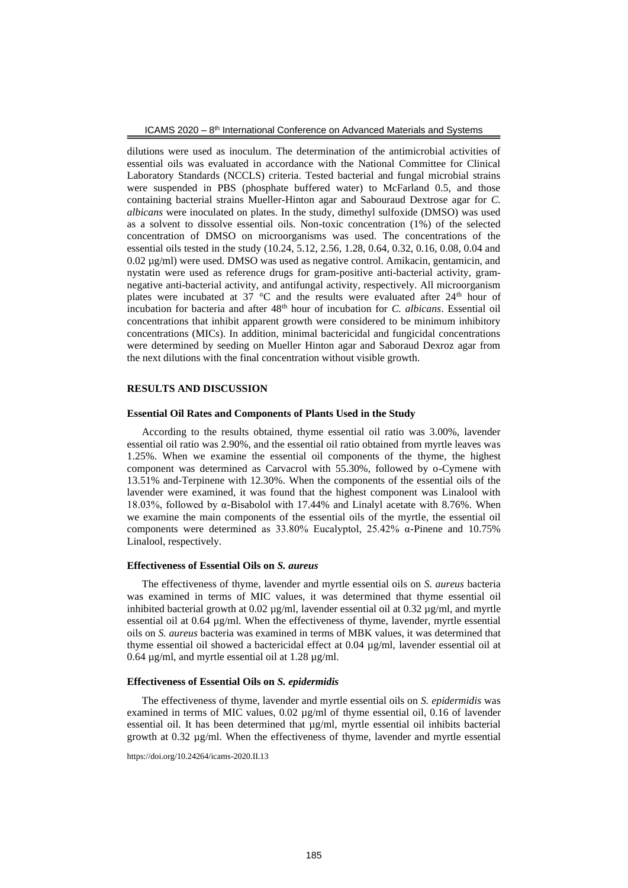dilutions were used as inoculum. The determination of the antimicrobial activities of essential oils was evaluated in accordance with the National Committee for Clinical Laboratory Standards (NCCLS) criteria. Tested bacterial and fungal microbial strains were suspended in PBS (phosphate buffered water) to McFarland 0.5, and those containing bacterial strains Mueller-Hinton agar and Sabouraud Dextrose agar for *C. albicans* were inoculated on plates. In the study, dimethyl sulfoxide (DMSO) was used as a solvent to dissolve essential oils. Non-toxic concentration (1%) of the selected concentration of DMSO on microorganisms was used. The concentrations of the essential oils tested in the study (10.24, 5.12, 2.56, 1.28, 0.64, 0.32, 0.16, 0.08, 0.04 and 0.02 µg/ml) were used. DMSO was used as negative control. Amikacin, gentamicin, and nystatin were used as reference drugs for gram-positive anti-bacterial activity, gramnegative anti-bacterial activity, and antifungal activity, respectively. All microorganism plates were incubated at 37  $\degree$ C and the results were evaluated after 24<sup>th</sup> hour of incubation for bacteria and after 48th hour of incubation for *C. albicans*. Essential oil concentrations that inhibit apparent growth were considered to be minimum inhibitory concentrations (MICs). In addition, minimal bactericidal and fungicidal concentrations were determined by seeding on Mueller Hinton agar and Saboraud Dexroz agar from the next dilutions with the final concentration without visible growth.

# **RESULTS AND DISCUSSION**

#### **Essential Oil Rates and Components of Plants Used in the Study**

According to the results obtained, thyme essential oil ratio was 3.00%, lavender essential oil ratio was 2.90%, and the essential oil ratio obtained from myrtle leaves was 1.25%. When we examine the essential oil components of the thyme, the highest component was determined as Carvacrol with 55.30%, followed by o-Cymene with 13.51% and-Terpinene with 12.30%. When the components of the essential oils of the lavender were examined, it was found that the highest component was Linalool with 18.03%, followed by α-Bisabolol with 17.44% and Linalyl acetate with 8.76%. When we examine the main components of the essential oils of the myrtle, the essential oil components were determined as 33.80% Eucalyptol, 25.42% α-Pinene and 10.75% Linalool, respectively.

#### **Effectiveness of Essential Oils on** *S. aureus*

The effectiveness of thyme, lavender and myrtle essential oils on *S. aureus* bacteria was examined in terms of MIC values, it was determined that thyme essential oil inhibited bacterial growth at  $0.02 \mu g/ml$ , lavender essential oil at  $0.32 \mu g/ml$ , and myrtle essential oil at  $0.64 \mu g/ml$ . When the effectiveness of thyme, lavender, myrtle essential oils on *S. aureus* bacteria was examined in terms of MBK values, it was determined that thyme essential oil showed a bactericidal effect at 0.04 µg/ml, lavender essential oil at 0.64  $\mu$ g/ml, and myrtle essential oil at 1.28  $\mu$ g/ml.

### **Effectiveness of Essential Oils on** *S. epidermidis*

The effectiveness of thyme, lavender and myrtle essential oils on *S. epidermidis* was examined in terms of MIC values,  $0.02 \mu g/ml$  of thyme essential oil,  $0.16$  of lavender essential oil. It has been determined that  $\mu$ g/ml, myrtle essential oil inhibits bacterial growth at  $0.32 \mu g/ml$ . When the effectiveness of thyme, lavender and myrtle essential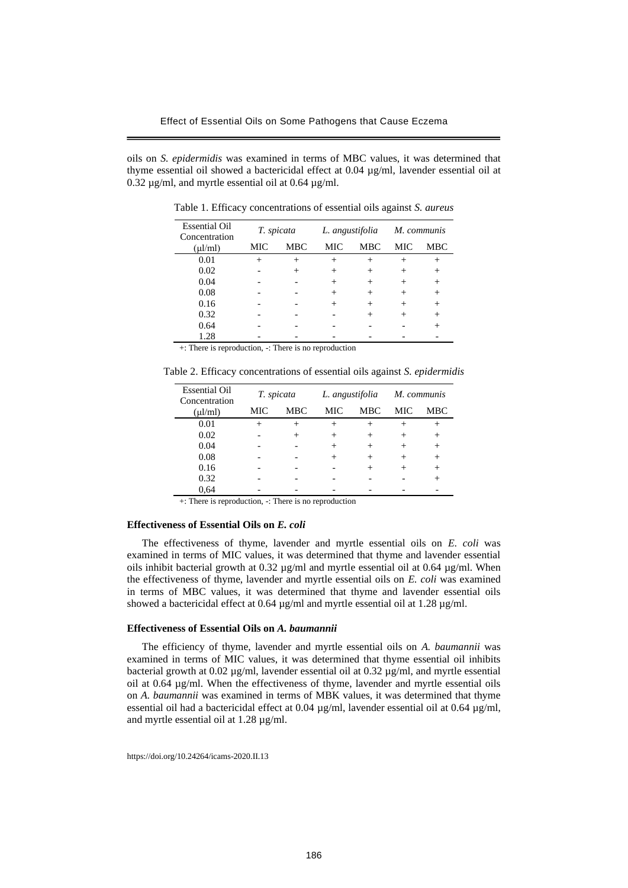oils on *S. epidermidis* was examined in terms of MBC values, it was determined that thyme essential oil showed a bactericidal effect at 0.04 µg/ml, lavender essential oil at 0.32  $\mu$ g/ml, and myrtle essential oil at 0.64  $\mu$ g/ml.

| <b>Essential Oil</b><br>Concentration | T. spicata |            | L. angustifolia |            | M. communis |            |
|---------------------------------------|------------|------------|-----------------|------------|-------------|------------|
| $(\mu l/ml)$                          | <b>MIC</b> | <b>MBC</b> | MIC             | <b>MBC</b> | MIC         | <b>MBC</b> |
| 0.01                                  |            | $^{+}$     | $^+$            | $^+$       | $^+$        | $^{+}$     |
| 0.02                                  |            |            |                 | +          |             | $^{+}$     |
| 0.04                                  |            |            | $^{+}$          | $^+$       | $^{+}$      | $^{+}$     |
| 0.08                                  |            |            | +               | $^+$       | $^+$        | $^{+}$     |
| 0.16                                  |            |            |                 | $^+$       | $^{+}$      | $^{+}$     |
| 0.32                                  |            |            |                 | $^+$       | $^+$        | $^{+}$     |
| 0.64                                  |            |            |                 |            |             |            |
| 1.28                                  |            |            |                 |            |             |            |

Table 1. Efficacy concentrations of essential oils against *S. aureus*

+: There is reproduction, -: There is no reproduction

Table 2. Efficacy concentrations of essential oils against *S. epidermidis*

| <b>Essential Oil</b><br>Concentration | T. spicata |     | L. angustifolia |            | M. communis |            |
|---------------------------------------|------------|-----|-----------------|------------|-------------|------------|
| $(\mu l/ml)$                          | <b>MIC</b> | MBC | MIC             | <b>MBC</b> | MIC         | <b>MBC</b> |
| 0.01                                  | $^{+}$     |     |                 | $^+$       |             | $^+$       |
| 0.02                                  |            |     | $^{+}$          | $^+$       | +           | $^{+}$     |
| 0.04                                  |            |     | $^{+}$          | $^+$       |             | $^{+}$     |
| 0.08                                  |            |     |                 | +          |             | $^{+}$     |
| 0.16                                  |            |     |                 | $^{+}$     |             | $^{+}$     |
| 0.32                                  |            |     |                 |            |             | ┿          |
| 0.64                                  |            |     |                 |            |             |            |

+: There is reproduction, -: There is no reproduction

# **Effectiveness of Essential Oils on** *E. coli*

The effectiveness of thyme, lavender and myrtle essential oils on *E. coli* was examined in terms of MIC values, it was determined that thyme and lavender essential oils inhibit bacterial growth at  $0.32 \mu$ g/ml and myrtle essential oil at  $0.64 \mu$ g/ml. When the effectiveness of thyme, lavender and myrtle essential oils on *E. coli* was examined in terms of MBC values, it was determined that thyme and lavender essential oils showed a bactericidal effect at 0.64  $\mu$ g/ml and myrtle essential oil at 1.28  $\mu$ g/ml.

# **Effectiveness of Essential Oils on** *A. baumannii*

The efficiency of thyme, lavender and myrtle essential oils on *A. baumannii* was examined in terms of MIC values, it was determined that thyme essential oil inhibits bacterial growth at 0.02 µg/ml, lavender essential oil at 0.32 µg/ml, and myrtle essential oil at  $0.64 \mu g/ml$ . When the effectiveness of thyme, lavender and myrtle essential oils on *A. baumannii* was examined in terms of MBK values, it was determined that thyme essential oil had a bactericidal effect at 0.04 µg/ml, lavender essential oil at 0.64 µg/ml, and myrtle essential oil at 1.28 µg/ml.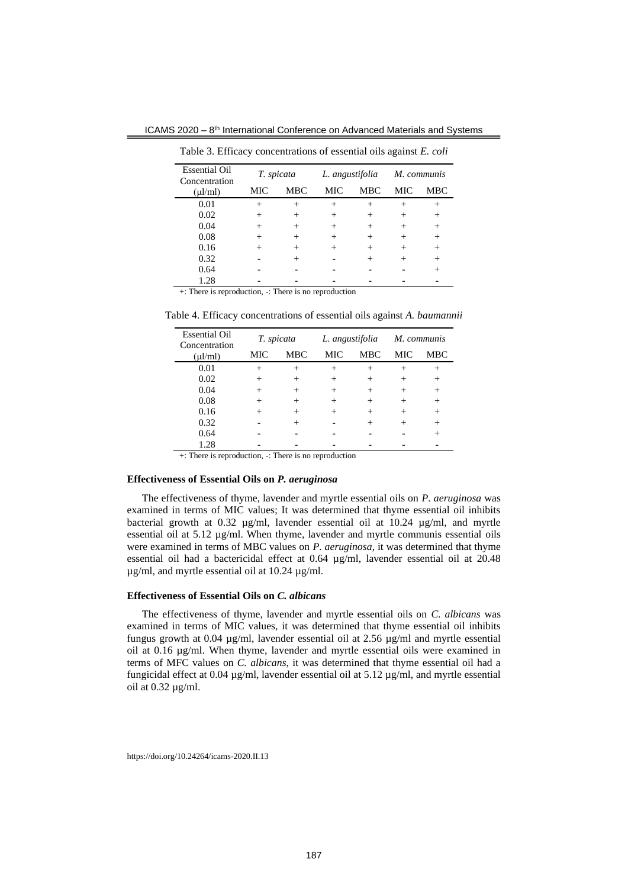ICAMS 2020 - 8<sup>th</sup> International Conference on Advanced Materials and Systems

| <b>Essential Oil</b><br>Concentration | T. spicata |            | L. angustifolia |            | M. communis |            |  |
|---------------------------------------|------------|------------|-----------------|------------|-------------|------------|--|
| $(\mu l/ml)$                          | <b>MIC</b> | <b>MBC</b> | MIC             | <b>MBC</b> | <b>MIC</b>  | <b>MBC</b> |  |
| 0.01                                  | $^{+}$     | $^{+}$     | $^{+}$          | $^{+}$     |             |            |  |
| 0.02                                  |            |            |                 | $^+$       |             | $^+$       |  |
| 0.04                                  |            |            |                 | +          |             | $^+$       |  |
| 0.08                                  |            | $^{+}$     |                 | $^+$       |             | $^{+}$     |  |
| 0.16                                  |            | $^+$       |                 | $^+$       |             | $^+$       |  |
| 0.32                                  |            |            |                 | $^+$       |             | $^+$       |  |
| 0.64                                  |            |            |                 |            |             |            |  |
| 1.28                                  |            |            |                 |            |             |            |  |

Table 3. Efficacy concentrations of essential oils against *E. coli*

+: There is reproduction, -: There is no reproduction

Table 4. Efficacy concentrations of essential oils against *A. baumannii*

| <b>Essential Oil</b><br>Concentration | T. spicata |        | L. angustifolia |            | M. communis |        |
|---------------------------------------|------------|--------|-----------------|------------|-------------|--------|
| $(\mu l/ml)$                          | <b>MIC</b> | MBC    | MIC             | <b>MBC</b> | MIC         | MBC    |
| 0.01                                  | $^{+}$     | $^{+}$ | $^{+}$          | $^{+}$     | $^{+}$      | $^{+}$ |
| 0.02                                  |            |        |                 |            |             | $^{+}$ |
| 0.04                                  |            | $^{+}$ |                 | $^+$       |             | $^{+}$ |
| 0.08                                  | $^{+}$     | $^{+}$ | $^+$            | $^+$       | $\pm$       | $^{+}$ |
| 0.16                                  |            |        |                 | +          |             |        |
| 0.32                                  |            |        |                 | $^+$       |             | $^{+}$ |
| 0.64                                  |            |        |                 |            |             | +      |
| 1.28                                  |            |        |                 |            |             |        |

+: There is reproduction, -: There is no reproduction

### **Effectiveness of Essential Oils on** *P. aeruginosa*

The effectiveness of thyme, lavender and myrtle essential oils on *P. aeruginosa* was examined in terms of MIC values; It was determined that thyme essential oil inhibits bacterial growth at 0.32 µg/ml, lavender essential oil at 10.24 µg/ml, and myrtle essential oil at 5.12 µg/ml. When thyme, lavender and myrtle communis essential oils were examined in terms of MBC values on *P. aeruginosa*, it was determined that thyme essential oil had a bactericidal effect at 0.64 µg/ml, lavender essential oil at 20.48 µg/ml, and myrtle essential oil at 10.24 µg/ml.

# **Effectiveness of Essential Oils on** *C. albicans*

The effectiveness of thyme, lavender and myrtle essential oils on *C. albicans* was examined in terms of MIC values, it was determined that thyme essential oil inhibits fungus growth at 0.04 µg/ml, lavender essential oil at 2.56 µg/ml and myrtle essential oil at 0.16 µg/ml. When thyme, lavender and myrtle essential oils were examined in terms of MFC values on *C. albicans*, it was determined that thyme essential oil had a fungicidal effect at 0.04 µg/ml, lavender essential oil at 5.12 µg/ml, and myrtle essential oil at 0.32 µg/ml.